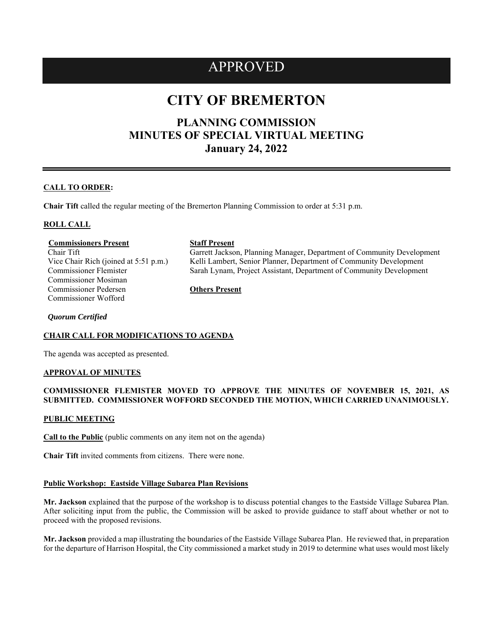## APPROVED

# **CITY OF BREMERTON**

## **PLANNING COMMISSION MINUTES OF SPECIAL VIRTUAL MEETING January 24, 2022**

#### **CALL TO ORDER:**

**Chair Tift** called the regular meeting of the Bremerton Planning Commission to order at 5:31 p.m.

#### **ROLL CALL**

#### **Commissioners Present Staff Present**

Chair Tift Vice Chair Rich (joined at 5:51 p.m.) Commissioner Flemister Commissioner Mosiman Commissioner Pedersen Commissioner Wofford

Garrett Jackson, Planning Manager, Department of Community Development Kelli Lambert, Senior Planner, Department of Community Development Sarah Lynam, Project Assistant, Department of Community Development

**Others Present**

*Quorum Certified*

### **CHAIR CALL FOR MODIFICATIONS TO AGENDA**

The agenda was accepted as presented.

#### **APPROVAL OF MINUTES**

#### **COMMISSIONER FLEMISTER MOVED TO APPROVE THE MINUTES OF NOVEMBER 15, 2021, AS SUBMITTED. COMMISSIONER WOFFORD SECONDED THE MOTION, WHICH CARRIED UNANIMOUSLY.**

#### **PUBLIC MEETING**

**Call to the Public** (public comments on any item not on the agenda)

**Chair Tift** invited comments from citizens. There were none.

#### **Public Workshop: Eastside Village Subarea Plan Revisions**

**Mr. Jackson** explained that the purpose of the workshop is to discuss potential changes to the Eastside Village Subarea Plan. After soliciting input from the public, the Commission will be asked to provide guidance to staff about whether or not to proceed with the proposed revisions.

**Mr. Jackson** provided a map illustrating the boundaries of the Eastside Village Subarea Plan. He reviewed that, in preparation for the departure of Harrison Hospital, the City commissioned a market study in 2019 to determine what uses would most likely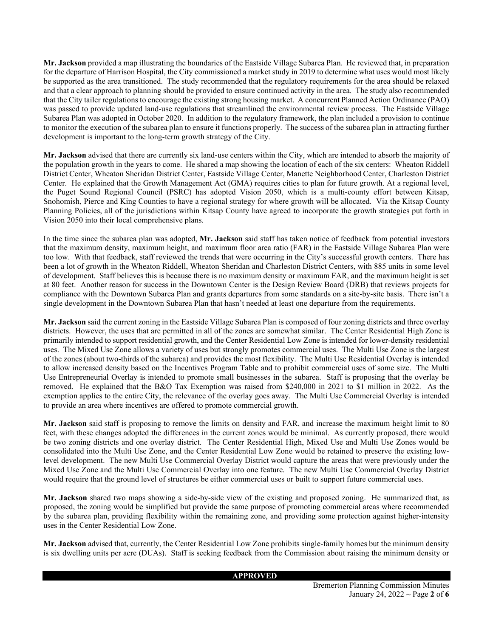**Mr. Jackson** provided a map illustrating the boundaries of the Eastside Village Subarea Plan. He reviewed that, in preparation for the departure of Harrison Hospital, the City commissioned a market study in 2019 to determine what uses would most likely be supported as the area transitioned. The study recommended that the regulatory requirements for the area should be relaxed and that a clear approach to planning should be provided to ensure continued activity in the area. The study also recommended that the City tailer regulations to encourage the existing strong housing market. A concurrent Planned Action Ordinance (PAO) was passed to provide updated land-use regulations that streamlined the environmental review process. The Eastside Village Subarea Plan was adopted in October 2020. In addition to the regulatory framework, the plan included a provision to continue to monitor the execution of the subarea plan to ensure it functions properly. The success of the subarea plan in attracting further development is important to the long-term growth strategy of the City.

**Mr. Jackson** advised that there are currently six land-use centers within the City, which are intended to absorb the majority of the population growth in the years to come. He shared a map showing the location of each of the six centers: Wheaton Riddell District Center, Wheaton Sheridan District Center, Eastside Village Center, Manette Neighborhood Center, Charleston District Center. He explained that the Growth Management Act (GMA) requires cities to plan for future growth. At a regional level, the Puget Sound Regional Council (PSRC) has adopted Vision 2050, which is a multi-county effort between Kitsap, Snohomish, Pierce and King Counties to have a regional strategy for where growth will be allocated. Via the Kitsap County Planning Policies, all of the jurisdictions within Kitsap County have agreed to incorporate the growth strategies put forth in Vision 2050 into their local comprehensive plans.

In the time since the subarea plan was adopted, **Mr. Jackson** said staff has taken notice of feedback from potential investors that the maximum density, maximum height, and maximum floor area ratio (FAR) in the Eastside Village Subarea Plan were too low. With that feedback, staff reviewed the trends that were occurring in the City's successful growth centers. There has been a lot of growth in the Wheaton Riddell, Wheaton Sheridan and Charleston District Centers, with 885 units in some level of development. Staff believes this is because there is no maximum density or maximum FAR, and the maximum height is set at 80 feet. Another reason for success in the Downtown Center is the Design Review Board (DRB) that reviews projects for compliance with the Downtown Subarea Plan and grants departures from some standards on a site-by-site basis. There isn't a single development in the Downtown Subarea Plan that hasn't needed at least one departure from the requirements.

**Mr. Jackson** said the current zoning in the Eastside Village Subarea Plan is composed of four zoning districts and three overlay districts. However, the uses that are permitted in all of the zones are somewhat similar. The Center Residential High Zone is primarily intended to support residential growth, and the Center Residential Low Zone is intended for lower-density residential uses. The Mixed Use Zone allows a variety of uses but strongly promotes commercial uses. The Multi Use Zone is the largest of the zones (about two-thirds of the subarea) and provides the most flexibility. The Multi Use Residential Overlay is intended to allow increased density based on the Incentives Program Table and to prohibit commercial uses of some size. The Multi Use Entrepreneurial Overlay is intended to promote small businesses in the subarea. Staff is proposing that the overlay be removed. He explained that the B&O Tax Exemption was raised from \$240,000 in 2021 to \$1 million in 2022. As the exemption applies to the entire City, the relevance of the overlay goes away. The Multi Use Commercial Overlay is intended to provide an area where incentives are offered to promote commercial growth.

**Mr. Jackson** said staff is proposing to remove the limits on density and FAR, and increase the maximum height limit to 80 feet, with these changes adopted the differences in the current zones would be minimal. As currently proposed, there would be two zoning districts and one overlay district. The Center Residential High, Mixed Use and Multi Use Zones would be consolidated into the Multi Use Zone, and the Center Residential Low Zone would be retained to preserve the existing lowlevel development. The new Multi Use Commercial Overlay District would capture the areas that were previously under the Mixed Use Zone and the Multi Use Commercial Overlay into one feature. The new Multi Use Commercial Overlay District would require that the ground level of structures be either commercial uses or built to support future commercial uses.

**Mr. Jackson** shared two maps showing a side-by-side view of the existing and proposed zoning. He summarized that, as proposed, the zoning would be simplified but provide the same purpose of promoting commercial areas where recommended by the subarea plan, providing flexibility within the remaining zone, and providing some protection against higher-intensity uses in the Center Residential Low Zone.

**Mr. Jackson** advised that, currently, the Center Residential Low Zone prohibits single-family homes but the minimum density is six dwelling units per acre (DUAs). Staff is seeking feedback from the Commission about raising the minimum density or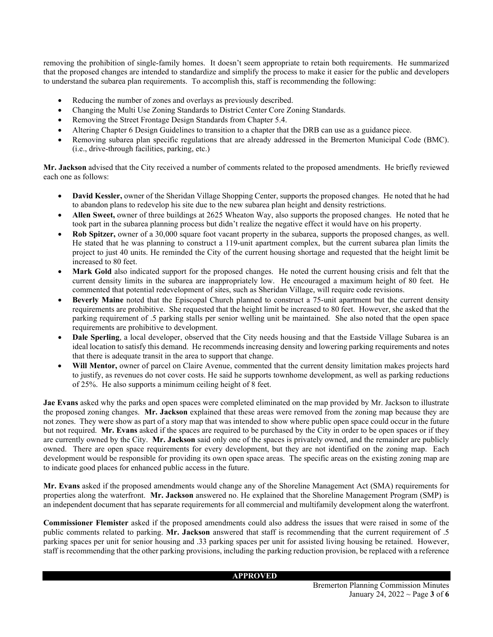removing the prohibition of single-family homes. It doesn't seem appropriate to retain both requirements. He summarized that the proposed changes are intended to standardize and simplify the process to make it easier for the public and developers to understand the subarea plan requirements. To accomplish this, staff is recommending the following:

- Reducing the number of zones and overlays as previously described.
- x Changing the Multi Use Zoning Standards to District Center Core Zoning Standards.
- Removing the Street Frontage Design Standards from Chapter 5.4.
- x Altering Chapter 6 Design Guidelines to transition to a chapter that the DRB can use as a guidance piece.
- x Removing subarea plan specific regulations that are already addressed in the Bremerton Municipal Code (BMC). (i.e., drive-through facilities, parking, etc.)

**Mr. Jackson** advised that the City received a number of comments related to the proposed amendments. He briefly reviewed each one as follows:

- **David Kessler,** owner of the Sheridan Village Shopping Center, supports the proposed changes. He noted that he had to abandon plans to redevelop his site due to the new subarea plan height and density restrictions.
- x **Allen Sweet,** owner of three buildings at 2625 Wheaton Way, also supports the proposed changes. He noted that he took part in the subarea planning process but didn't realize the negative effect it would have on his property.
- x **Rob Spitzer,** owner of a 30,000 square foot vacant property in the subarea, supports the proposed changes, as well. He stated that he was planning to construct a 119-unit apartment complex, but the current subarea plan limits the project to just 40 units. He reminded the City of the current housing shortage and requested that the height limit be increased to 80 feet.
- x **Mark Gold** also indicated support for the proposed changes. He noted the current housing crisis and felt that the current density limits in the subarea are inappropriately low. He encouraged a maximum height of 80 feet. He commented that potential redevelopment of sites, such as Sheridan Village, will require code revisions.
- x **Beverly Maine** noted that the Episcopal Church planned to construct a 75-unit apartment but the current density requirements are prohibitive. She requested that the height limit be increased to 80 feet. However, she asked that the parking requirement of .5 parking stalls per senior welling unit be maintained. She also noted that the open space requirements are prohibitive to development.
- **Dale Sperling**, a local developer, observed that the City needs housing and that the Eastside Village Subarea is an ideal location to satisfy this demand. He recommends increasing density and lowering parking requirements and notes that there is adequate transit in the area to support that change.
- x **Will Mentor,** owner of parcel on Claire Avenue, commented that the current density limitation makes projects hard to justify, as revenues do not cover costs. He said he supports townhome development, as well as parking reductions of 25%. He also supports a minimum ceiling height of 8 feet.

**Jae Evans** asked why the parks and open spaces were completed eliminated on the map provided by Mr. Jackson to illustrate the proposed zoning changes. **Mr. Jackson** explained that these areas were removed from the zoning map because they are not zones. They were show as part of a story map that was intended to show where public open space could occur in the future but not required. **Mr. Evans** asked if the spaces are required to be purchased by the City in order to be open spaces or if they are currently owned by the City. **Mr. Jackson** said only one of the spaces is privately owned, and the remainder are publicly owned. There are open space requirements for every development, but they are not identified on the zoning map. Each development would be responsible for providing its own open space areas. The specific areas on the existing zoning map are to indicate good places for enhanced public access in the future.

**Mr. Evans** asked if the proposed amendments would change any of the Shoreline Management Act (SMA) requirements for properties along the waterfront. **Mr. Jackson** answered no. He explained that the Shoreline Management Program (SMP) is an independent document that has separate requirements for all commercial and multifamily development along the waterfront.

**Commissioner Flemister** asked if the proposed amendments could also address the issues that were raised in some of the public comments related to parking. **Mr. Jackson** answered that staff is recommending that the current requirement of .5 parking spaces per unit for senior housing and .33 parking spaces per unit for assisted living housing be retained. However, staff is recommending that the other parking provisions, including the parking reduction provision, be replaced with a reference

#### **APPROVED**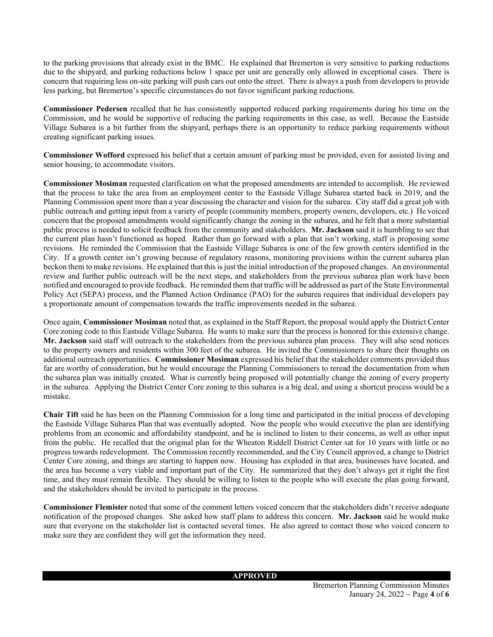to the parking provisions that already exist in the BMC. He explained that Bremerton is very sensitive to parking reductions due to the shipyard, and parking reductions below 1 space per unit are generally only allowed in exceptional cases. There is concern that requiring less on-site parking will push cars out onto the street. There is always a push from developers to provide less parking, but Bremerton's specific circumstances do not favor significant parking reductions.

**Commissioner Pedersen** recalled that he has consistently supported reduced parking requirements during his time on the Commission, and he would be supportive of reducing the parking requirements in this case, as well. Because the Eastside Village Subarea is a bit further from the shipyard, perhaps there is an opportunity to reduce parking requirements without creating significant parking issues.

**Commissioner Wofford** expressed his belief that a certain amount of parking must be provided, even for assisted living and senior housing, to accommodate visitors.

**Commissioner Mosiman** requested clarification on what the proposed amendments are intended to accomplish. He reviewed that the process to take the area from an employment center to the Eastside Village Subarea started back in 2019, and the Planning Commission spent more than a year discussing the character and vision for the subarea. City staff did a great job with public outreach and getting input from a variety of people (community members, property owners, developers, etc.) He voiced concern that the proposed amendments would significantly change the zoning in the subarea, and he felt that a more substantial public process is needed to solicit feedback from the community and stakeholders. **Mr. Jackson** said it is humbling to see that the current plan hasn't functioned as hoped. Rather than go forward with a plan that isn't working, staff is proposing some revisions. He reminded the Commission that the Eastside Village Subarea is one of the few growth centers identified in the City. If a growth center isn't growing because of regulatory reasons, monitoring provisions within the current subarea plan beckon them to make revisions. He explained that this is just the initial introduction of the proposed changes. An environmental review and further public outreach will be the next steps, and stakeholders from the previous subarea plan work have been notified and encouraged to provide feedback. He reminded them that traffic will be addressed as part of the State Environmental Policy Act (SEPA) process, and the Planned Action Ordinance (PAO) for the subarea requires that individual developers pay a proportionate amount of compensation towards the traffic improvements needed in the subarea.

Once again, **Commissioner Mosiman** noted that, as explained in the Staff Report, the proposal would apply the District Center Core zoning code to this Eastside Village Subarea. He wants to make sure that the process is honored for this extensive change. **Mr. Jackson** said staff will outreach to the stakeholders from the previous subarea plan process. They will also send notices to the property owners and residents within 300 feet of the subarea. He invited the Commissioners to share their thoughts on additional outreach opportunities. **Commissioner Mosiman** expressed his belief that the stakeholder comments provided thus far are worthy of consideration, but he would encourage the Planning Commissioners to reread the documentation from when the subarea plan was initially created. What is currently being proposed will potentially change the zoning of every property in the subarea. Applying the District Center Core zoning to this subarea is a big deal, and using a shortcut process would be a mistake.

**Chair Tift** said he has been on the Planning Commission for a long time and participated in the initial process of developing the Eastside Village Subarea Plan that was eventually adopted. Now the people who would executive the plan are identifying problems from an economic and affordability standpoint, and he is inclined to listen to their concerns, as well as other input from the public. He recalled that the original plan for the Wheaton Riddell District Center sat for 10 years with little or no progress towards redevelopment. The Commission recently recommended, and the City Council approved, a change to District Center Core zoning, and things are starting to happen now. Housing has exploded in that area, businesses have located, and the area has become a very viable and important part of the City. He summarized that they don't always get it right the first time, and they must remain flexible. They should be willing to listen to the people who will execute the plan going forward, and the stakeholders should be invited to participate in the process.

**Commissioner Flemister** noted that some of the comment letters voiced concern that the stakeholders didn't receive adequate notification of the proposed changes. She asked how staff plans to address this concern. **Mr. Jackson** said he would make sure that everyone on the stakeholder list is contacted several times. He also agreed to contact those who voiced concern to make sure they are confident they will get the information they need.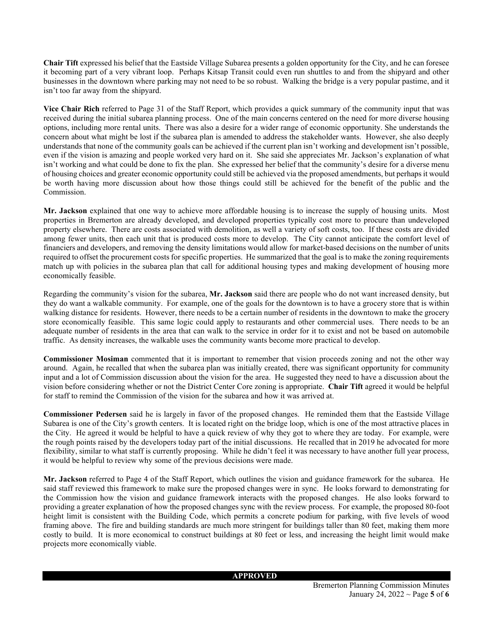**Chair Tift** expressed his belief that the Eastside Village Subarea presents a golden opportunity for the City, and he can foresee it becoming part of a very vibrant loop. Perhaps Kitsap Transit could even run shuttles to and from the shipyard and other businesses in the downtown where parking may not need to be so robust. Walking the bridge is a very popular pastime, and it isn't too far away from the shipyard.

**Vice Chair Rich** referred to Page 31 of the Staff Report, which provides a quick summary of the community input that was received during the initial subarea planning process. One of the main concerns centered on the need for more diverse housing options, including more rental units. There was also a desire for a wider range of economic opportunity. She understands the concern about what might be lost if the subarea plan is amended to address the stakeholder wants. However, she also deeply understands that none of the community goals can be achieved if the current plan isn't working and development isn't possible, even if the vision is amazing and people worked very hard on it. She said she appreciates Mr. Jackson's explanation of what isn't working and what could be done to fix the plan. She expressed her belief that the community's desire for a diverse menu of housing choices and greater economic opportunity could still be achieved via the proposed amendments, but perhaps it would be worth having more discussion about how those things could still be achieved for the benefit of the public and the Commission.

**Mr. Jackson** explained that one way to achieve more affordable housing is to increase the supply of housing units. Most properties in Bremerton are already developed, and developed properties typically cost more to procure than undeveloped property elsewhere. There are costs associated with demolition, as well a variety of soft costs, too. If these costs are divided among fewer units, then each unit that is produced costs more to develop. The City cannot anticipate the comfort level of financiers and developers, and removing the density limitations would allow for market-based decisions on the number of units required to offset the procurement costs for specific properties. He summarized that the goal is to make the zoning requirements match up with policies in the subarea plan that call for additional housing types and making development of housing more economically feasible.

Regarding the community's vision for the subarea, **Mr. Jackson** said there are people who do not want increased density, but they do want a walkable community. For example, one of the goals for the downtown is to have a grocery store that is within walking distance for residents. However, there needs to be a certain number of residents in the downtown to make the grocery store economically feasible. This same logic could apply to restaurants and other commercial uses. There needs to be an adequate number of residents in the area that can walk to the service in order for it to exist and not be based on automobile traffic. As density increases, the walkable uses the community wants become more practical to develop.

**Commissioner Mosiman** commented that it is important to remember that vision proceeds zoning and not the other way around. Again, he recalled that when the subarea plan was initially created, there was significant opportunity for community input and a lot of Commission discussion about the vision for the area. He suggested they need to have a discussion about the vision before considering whether or not the District Center Core zoning is appropriate. **Chair Tift** agreed it would be helpful for staff to remind the Commission of the vision for the subarea and how it was arrived at.

**Commissioner Pedersen** said he is largely in favor of the proposed changes. He reminded them that the Eastside Village Subarea is one of the City's growth centers. It is located right on the bridge loop, which is one of the most attractive places in the City. He agreed it would be helpful to have a quick review of why they got to where they are today. For example, were the rough points raised by the developers today part of the initial discussions. He recalled that in 2019 he advocated for more flexibility, similar to what staff is currently proposing. While he didn't feel it was necessary to have another full year process, it would be helpful to review why some of the previous decisions were made.

**Mr. Jackson** referred to Page 4 of the Staff Report, which outlines the vision and guidance framework for the subarea. He said staff reviewed this framework to make sure the proposed changes were in sync. He looks forward to demonstrating for the Commission how the vision and guidance framework interacts with the proposed changes. He also looks forward to providing a greater explanation of how the proposed changes sync with the review process. For example, the proposed 80-foot height limit is consistent with the Building Code, which permits a concrete podium for parking, with five levels of wood framing above. The fire and building standards are much more stringent for buildings taller than 80 feet, making them more costly to build. It is more economical to construct buildings at 80 feet or less, and increasing the height limit would make projects more economically viable.

#### **APPROVED**